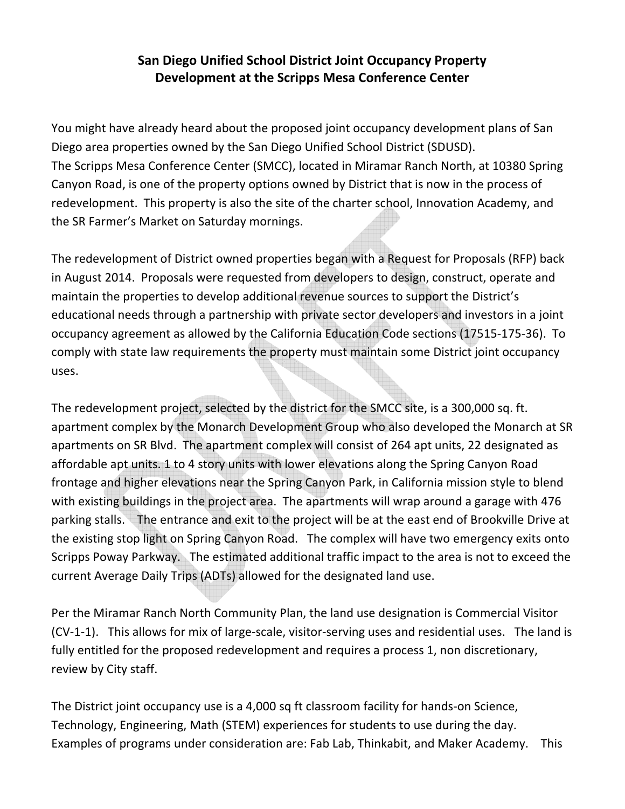## San Diego Unified School District Joint Occupancy Property Development at the Scripps Mesa Conference Center

You might have already heard about the proposed joint occupancy development plans of San Diego area properties owned by the San Diego Unified School District (SDUSD). The Scripps Mesa Conference Center (SMCC), located in Miramar Ranch North, at 10380 Spring Canyon Road, is one of the property options owned by District that is now in the process of redevelopment. This property is also the site of the charter school, Innovation Academy, and the SR Farmer's Market on Saturday mornings.

The redevelopment of District owned properties began with a Request for Proposals (RFP) back in August 2014. Proposals were requested from developers to design, construct, operate and maintain the properties to develop additional revenue sources to support the District's educational needs through a partnership with private sector developers and investors in a joint occupancy agreement as allowed by the California Education Code sections (17515-175-36). To comply with state law requirements the property must maintain some District joint occupancy uses.

The redevelopment project, selected by the district for the SMCC site, is a 300,000 sq. ft. apartment complex by the Monarch Development Group who also developed the Monarch at SR apartments on SR Blvd. The apartment complex will consist of 264 apt units, 22 designated as affordable apt units. 1 to 4 story units with lower elevations along the Spring Canyon Road frontage and higher elevations near the Spring Canyon Park, in California mission style to blend with existing buildings in the project area. The apartments will wrap around a garage with 476 parking stalls. The entrance and exit to the project will be at the east end of Brookville Drive at the existing stop light on Spring Canyon Road. The complex will have two emergency exits onto Scripps Poway Parkway. The estimated additional traffic impact to the area is not to exceed the current Average Daily Trips (ADTs) allowed for the designated land use.

Per the Miramar Ranch North Community Plan, the land use designation is Commercial Visitor (CV-1-1). This allows for mix of large-scale, visitor-serving uses and residential uses. The land is fully entitled for the proposed redevelopment and requires a process 1, non discretionary, review by City staff.

The District joint occupancy use is a 4,000 sq ft classroom facility for hands-on Science, Technology, Engineering, Math (STEM) experiences for students to use during the day. Examples of programs under consideration are: Fab Lab, Thinkabit, and Maker Academy. This